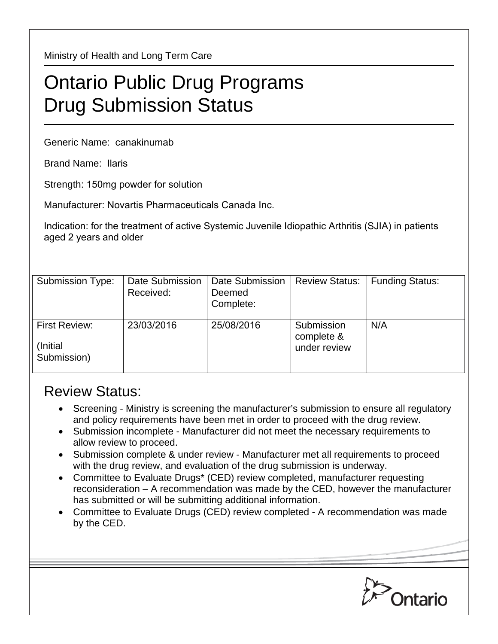Ministry of Health and Long Term Care

## Ontario Public Drug Programs Drug Submission Status

Generic Name: canakinumab

Brand Name: Ilaris

Strength: 150mg powder for solution

Manufacturer: Novartis Pharmaceuticals Canada Inc.

Indication: for the treatment of active Systemic Juvenile Idiopathic Arthritis (SJIA) in patients aged 2 years and older

| Submission Type:                                | Date Submission<br>Received: | Date Submission<br>Deemed<br>Complete: | <b>Review Status:</b>                    | <b>Funding Status:</b> |
|-------------------------------------------------|------------------------------|----------------------------------------|------------------------------------------|------------------------|
| <b>First Review:</b><br>(Initial<br>Submission) | 23/03/2016                   | 25/08/2016                             | Submission<br>complete &<br>under review | N/A                    |

## Review Status:

- Screening Ministry is screening the manufacturer's submission to ensure all regulatory and policy requirements have been met in order to proceed with the drug review.
- Submission incomplete Manufacturer did not meet the necessary requirements to allow review to proceed.
- Submission complete & under review Manufacturer met all requirements to proceed with the drug review, and evaluation of the drug submission is underway.
- Committee to Evaluate Drugs\* (CED) review completed, manufacturer requesting reconsideration – A recommendation was made by the CED, however the manufacturer has submitted or will be submitting additional information.
- Committee to Evaluate Drugs (CED) review completed A recommendation was made by the CED.